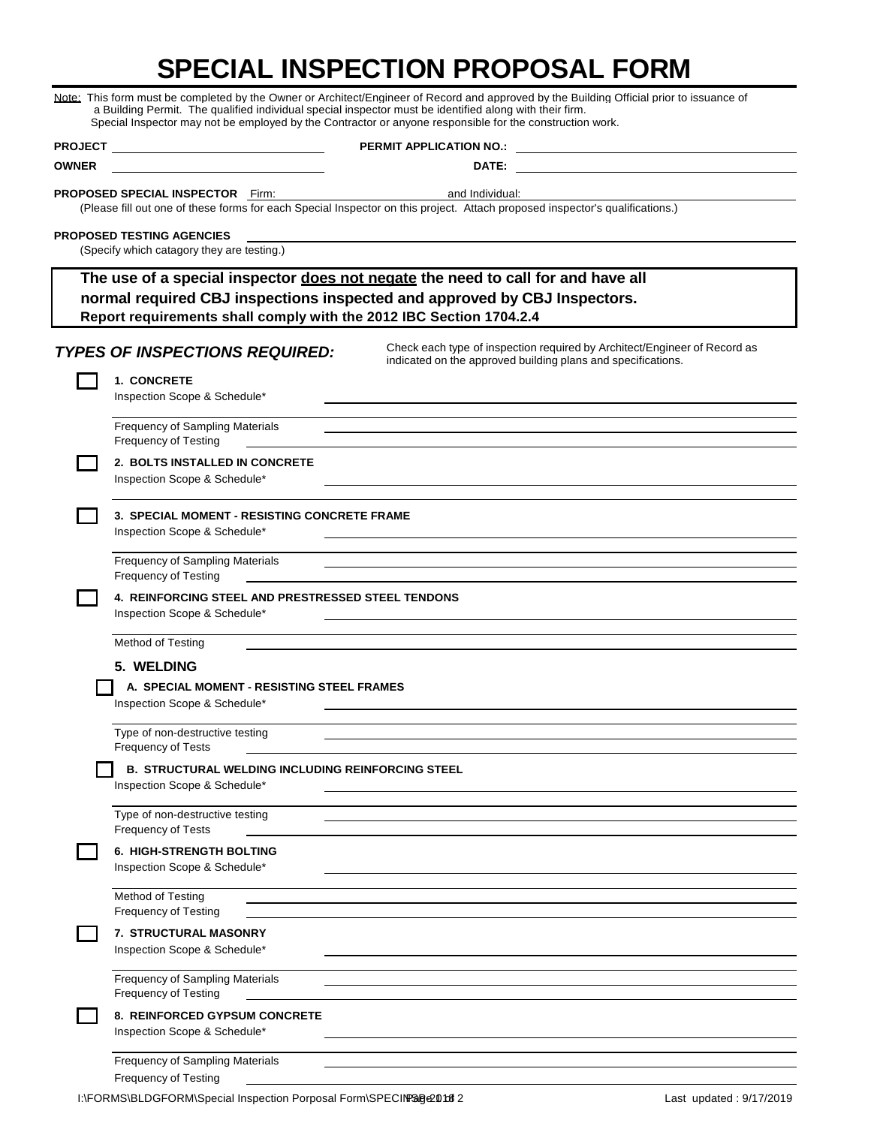## **SPECIAL INSPECTION PROPOSAL FORM**

|                |                                                                                                                       | Note: This form must be completed by the Owner or Architect/Engineer of Record and approved by the Building Official prior to issuance of<br>a Building Permit. The qualified individual special inspector must be identified along with their firm.<br>Special Inspector may not be employed by the Contractor or anyone responsible for the construction work. |
|----------------|-----------------------------------------------------------------------------------------------------------------------|------------------------------------------------------------------------------------------------------------------------------------------------------------------------------------------------------------------------------------------------------------------------------------------------------------------------------------------------------------------|
| <b>PROJECT</b> | <u> 1989 - Johann Harry Harry Harry Harry Harry Harry Harry Harry Harry Harry Harry Harry Harry Harry Harry Harry</u> | <b>PERMIT APPLICATION NO.: EXAMPLE ASSESSED ASSESSED.</b>                                                                                                                                                                                                                                                                                                        |
| <b>OWNER</b>   |                                                                                                                       |                                                                                                                                                                                                                                                                                                                                                                  |
|                | <b>PROPOSED SPECIAL INSPECTOR Firm:</b>                                                                               | and Individual:<br>(Please fill out one of these forms for each Special Inspector on this project. Attach proposed inspector's qualifications.)                                                                                                                                                                                                                  |
|                | <b>PROPOSED TESTING AGENCIES</b><br>(Specify which catagory they are testing.)                                        |                                                                                                                                                                                                                                                                                                                                                                  |
|                | Report requirements shall comply with the 2012 IBC Section 1704.2.4                                                   | The use of a special inspector does not negate the need to call for and have all<br>normal required CBJ inspections inspected and approved by CBJ Inspectors.                                                                                                                                                                                                    |
|                | <b>TYPES OF INSPECTIONS REQUIRED:</b>                                                                                 | Check each type of inspection required by Architect/Engineer of Record as<br>indicated on the approved building plans and specifications.                                                                                                                                                                                                                        |
|                | 1. CONCRETE<br>Inspection Scope & Schedule*                                                                           | the control of the control of the control of the control of the control of the control of the control of the control of the control of the control of the control of the control of the control of the control of the control                                                                                                                                    |
|                | <b>Frequency of Sampling Materials</b><br><b>Frequency of Testing</b>                                                 | and the control of the control of the control of the control of the control of the control of the control of the                                                                                                                                                                                                                                                 |
|                | 2. BOLTS INSTALLED IN CONCRETE<br>Inspection Scope & Schedule*                                                        |                                                                                                                                                                                                                                                                                                                                                                  |
|                | 3. SPECIAL MOMENT - RESISTING CONCRETE FRAME<br>Inspection Scope & Schedule*                                          |                                                                                                                                                                                                                                                                                                                                                                  |
|                | <b>Frequency of Sampling Materials</b><br><b>Frequency of Testing</b>                                                 | ,我们也不会有一个人的人,我们也不会有一个人的人,我们也不会有一个人的人。""我们,我们也不会有一个人的人,我们也不会有一个人的人。""我们,我们也不会有一个人                                                                                                                                                                                                                                                                                 |
|                | 4. REINFORCING STEEL AND PRESTRESSED STEEL TENDONS<br>Inspection Scope & Schedule*                                    |                                                                                                                                                                                                                                                                                                                                                                  |
|                | Method of Testing                                                                                                     |                                                                                                                                                                                                                                                                                                                                                                  |
|                | 5. WELDING                                                                                                            |                                                                                                                                                                                                                                                                                                                                                                  |
|                | A. SPECIAL MOMENT - RESISTING STEEL FRAMES<br>Inspection Scope & Schedule*                                            |                                                                                                                                                                                                                                                                                                                                                                  |
|                | Type of non-destructive testing<br><b>Frequency of Tests</b>                                                          |                                                                                                                                                                                                                                                                                                                                                                  |
|                | <b>B. STRUCTURAL WELDING INCLUDING REINFORCING STEEL</b><br>Inspection Scope & Schedule*                              |                                                                                                                                                                                                                                                                                                                                                                  |
|                | Type of non-destructive testing<br>Frequency of Tests                                                                 |                                                                                                                                                                                                                                                                                                                                                                  |
|                | <b>6. HIGH-STRENGTH BOLTING</b><br>Inspection Scope & Schedule*                                                       |                                                                                                                                                                                                                                                                                                                                                                  |
|                | Method of Testing<br><b>Frequency of Testing</b>                                                                      |                                                                                                                                                                                                                                                                                                                                                                  |
|                | 7. STRUCTURAL MASONRY<br>Inspection Scope & Schedule*                                                                 |                                                                                                                                                                                                                                                                                                                                                                  |
|                | <b>Frequency of Sampling Materials</b><br><b>Frequency of Testing</b>                                                 |                                                                                                                                                                                                                                                                                                                                                                  |
|                | 8. REINFORCED GYPSUM CONCRETE<br>Inspection Scope & Schedule*                                                         |                                                                                                                                                                                                                                                                                                                                                                  |
|                | <b>Frequency of Sampling Materials</b><br><b>Frequency of Testing</b>                                                 |                                                                                                                                                                                                                                                                                                                                                                  |

I:\FORMS\BLDGFORM\Special Inspection Porposal Form\SPECIN®@e2018 2 Last updated : 9/17/2019